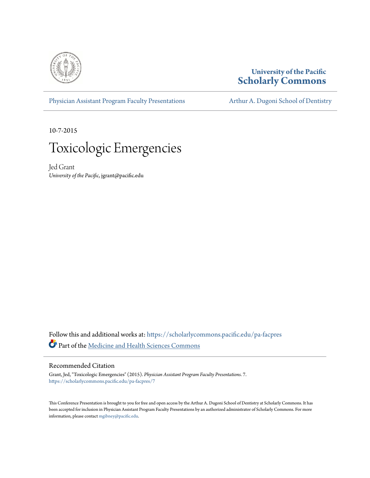

#### **University of the Pacific [Scholarly Commons](https://scholarlycommons.pacific.edu?utm_source=scholarlycommons.pacific.edu%2Fpa-facpres%2F7&utm_medium=PDF&utm_campaign=PDFCoverPages)**

[Physician Assistant Program Faculty Presentations](https://scholarlycommons.pacific.edu/pa-facpres?utm_source=scholarlycommons.pacific.edu%2Fpa-facpres%2F7&utm_medium=PDF&utm_campaign=PDFCoverPages) [Arthur A. Dugoni School of Dentistry](https://scholarlycommons.pacific.edu/dugoni?utm_source=scholarlycommons.pacific.edu%2Fpa-facpres%2F7&utm_medium=PDF&utm_campaign=PDFCoverPages)

10-7-2015

## Toxicologic Emergencies

Jed Grant *University of the Pacific*, jgrant@pacific.edu

Follow this and additional works at: [https://scholarlycommons.pacific.edu/pa-facpres](https://scholarlycommons.pacific.edu/pa-facpres?utm_source=scholarlycommons.pacific.edu%2Fpa-facpres%2F7&utm_medium=PDF&utm_campaign=PDFCoverPages) Part of the [Medicine and Health Sciences Commons](http://network.bepress.com/hgg/discipline/648?utm_source=scholarlycommons.pacific.edu%2Fpa-facpres%2F7&utm_medium=PDF&utm_campaign=PDFCoverPages)

#### Recommended Citation

Grant, Jed, "Toxicologic Emergencies" (2015). *Physician Assistant Program Faculty Presentations*. 7. [https://scholarlycommons.pacific.edu/pa-facpres/7](https://scholarlycommons.pacific.edu/pa-facpres/7?utm_source=scholarlycommons.pacific.edu%2Fpa-facpres%2F7&utm_medium=PDF&utm_campaign=PDFCoverPages)

This Conference Presentation is brought to you for free and open access by the Arthur A. Dugoni School of Dentistry at Scholarly Commons. It has been accepted for inclusion in Physician Assistant Program Faculty Presentations by an authorized administrator of Scholarly Commons. For more information, please contact [mgibney@pacific.edu.](mailto:mgibney@pacific.edu)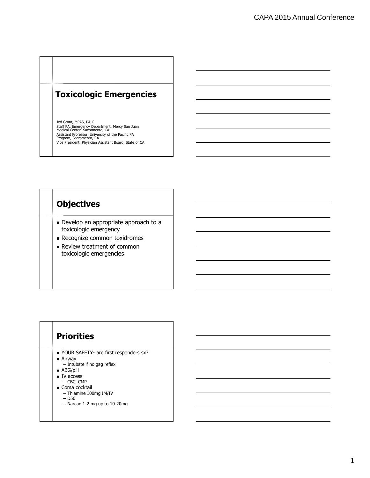## **Toxicologic Emergencies**

Jed Grant, MPAS, PA-C Staff PA, Emergency Department, Mercy San Juan Medical Center, Sacramento, CA Assistant Professor, University of the Pacific PA Program, Sacramento, CA Vice President, Physician Assistant Board, State of CA

## **Objectives**

- Develop an appropriate approach to a toxicologic emergency
- **Recognize common toxidromes**
- Review treatment of common toxicologic emergencies

## **Priorities**

- YOUR SAFETY- are first responders sx?
- Airway
	- Intubate if no gag reflex
- ABG/pH
- IV access
	- CBC, CMP
- Coma cocktail
	- Thiamine 100mg IM/IV
	- D50
	- Narcan 1-2 mg up to 10-20mg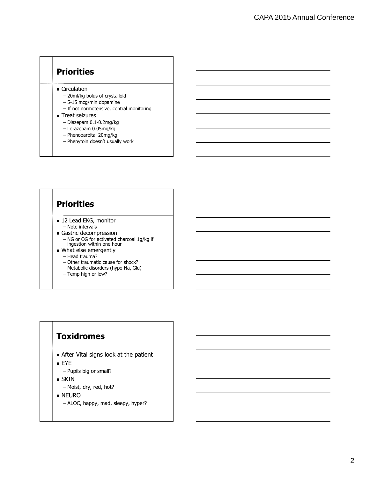## **Priorities**

**Circulation** 

- 20ml/kg bolus of crystalloid
- 5-15 mcg/min dopamine
- If not normotensive, central monitoring
- **Treat seizures** 
	- Diazepam 0.1-0.2mg/kg
	- Lorazepam 0.05mg/kg
	- Phenobarbital 20mg/kg
	- Phenytoin doesn't usually work

#### **Priorities** ■ 12 Lead EKG, monitor – Note intervals Gastric decompression – NG or OG for activated charcoal 1g/kg if ingestion within one hour **What else emergently** – Head trauma? – Other traumatic cause for shock? – Metabolic disorders (hypo Na, Glu) – Temp high or low?

#### **Toxidromes**

- After Vital signs look at the patient
- EYE
	- Pupils big or small?
- **SKIN** 
	- Moist, dry, red, hot?
- NEURO
	- ALOC, happy, mad, sleepy, hyper?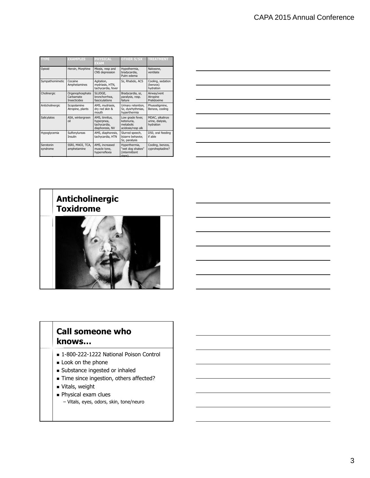| <b>TYPE</b>           | <b>EXAMPLES</b>                                     | <b>PHYSICAL</b><br><b>EXAM</b>                                  | <b>OTHER S/SX TREATMENT</b>                                      |                                                  |
|-----------------------|-----------------------------------------------------|-----------------------------------------------------------------|------------------------------------------------------------------|--------------------------------------------------|
| Opioid                | Heroin, Morphine                                    | Miosis, resp and<br>CNS depression                              | Hypothermia,<br>bradycardia,<br>Pulm edema                       | Naloxone.<br>ventilate                           |
| Sympathomimetic       | Cocaine<br>Amphetamines                             | Agitation,<br>mydriasis, HTN,<br>tachycardia, fever             | Sz, Rhabdo, ACS                                                  | Cooling, sedation<br>(benzos)<br>hydration       |
| Cholinergic           | Organophosphate<br>Carbamate<br><b>Insecticides</b> | SLUDGE.<br>bronchorrhea,<br>fasciculations                      | Bradycardia, sz,<br>paralysis, resp.<br>failure                  | Airway/vent<br>Atropine<br>Pralidoxime           |
| Anticholinergic       | Scopolamine<br>Atropine, plants                     | AMS, mydriasis,<br>dry red skin &<br>mouth                      | Urinary retention,<br>Sz, dysrhythmias,<br>hyperthermia          | Physostigmine,<br>Benzos, cooling                |
| Salicylates           | ASA, wintergreen<br>oil                             | AMS, tinnitus,<br>hyperpnea,<br>tachycardia,<br>diaphoresis, NV | Low grade fever,<br>ketonuria.<br>metabolic<br>acidosis/resp alk | MDAC, alkalinze<br>urine, dialysis,<br>hydration |
| Hypoglycemia          | Sulfonylureas<br><b>Insulin</b>                     | AMS, diaphoresis,<br>tachycardia, HTN                           | Slurred speech,<br>bizarre behavior,<br>Sz, paralysis            | D50, oral feeding<br>if able                     |
| Serotonin<br>syndrome | SSRI, MAOI, TCA,<br>amphetamine                     | AMS, increased<br>muscle tone,<br>hyperreflexia                 | Hyperthermia,<br>"wet dog shakes"<br>(intermittent<br>rigor)     | Cooling, benzos,<br>cyproheptadine?              |





#### **Call someone who knows…**

- 1-800-222-1222 National Poison Control
- **Look on the phone**
- Substance ingested or inhaled
- Time since ingestion, others affected?
- **vitals**, weight
- **Physical exam clues** 
	- Vitals, eyes, odors, skin, tone/neuro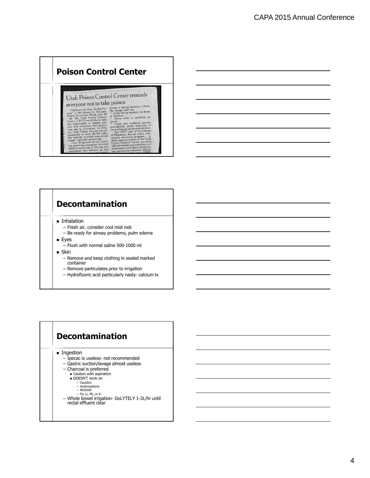## **Poison Control Center**

#### Utah Poison Control Center reminds everyone not to take poison

 $\begin{tabular}{l|c|c|c|c|c|c|c|c} \textbf{C} \texttt{LCT1} & \textbf{COOC} & \textbf{D} & \textbf{L} & \textbf{C} & \textbf{D} & \textbf{D} & \textbf{D} & \textbf{D} & \textbf{D} & \textbf{D} & \textbf{D} & \textbf{D} & \textbf{D} & \textbf{D} & \textbf{D} & \textbf{D} & \textbf{D} & \textbf{D} & \textbf{D} & \textbf{D} & \textbf{D} & \textbf{D} & \textbf{D} & \textbf{D} & \textbf{D} & \textbf{D$ 

- 
- 
- 
- 

# **Decontamination**

- **Inhalation** 
	- Fresh air, consider cool mist neb
	- Be ready for airway problems, pulm edema
- **Eyes** 
	- Flush with normal saline 500-1000 ml
- **Skin** 
	- Remove and keep clothing in sealed marked container
	- Remove particulates prior to irrigation
	- Hydrofluoric acid particularly nasty- calcium tx

#### **Decontamination**

**Ingestion** 

- Ipecac is useless- not recommended
- Gastric suction/lavage almost useless
- Charcoal is preferred
	- Caution with aspiration DOESN'T work on
		-
		- Caustics Hydrocarbons Alcohols
		- Fe, Li, Pb, or K
		-
- Whole bowel irrigation- GoLYTELY 1-2L/hr until rectal effluent clear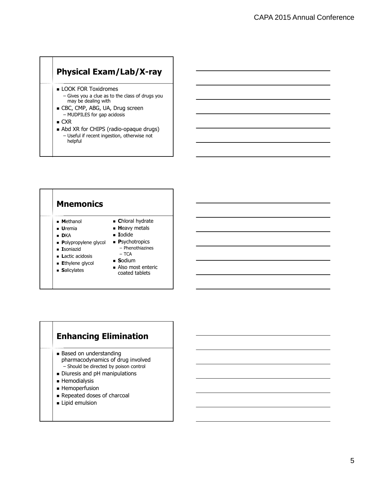## **Physical Exam/Lab/X-ray**

- **LOOK FOR Toxidromes** 
	- Gives you a clue as to the class of drugs you may be dealing with
- CBC, CMP, ABG, UA, Drug screen – MUDPILES for gap acidosis
- CXR
- Abd XR for CHIPS (radio-opaque drugs) – Useful if recent ingestion, otherwise not helpful

| Mnemonics                                                                                                                                                         |                                                                                                                                                                                  |
|-------------------------------------------------------------------------------------------------------------------------------------------------------------------|----------------------------------------------------------------------------------------------------------------------------------------------------------------------------------|
| <b>Methanol</b><br><b>U</b> remia<br><b>DKA</b><br>• Polypropylene glycol<br><b>Exercise</b><br><b>Lactic acidosis</b><br><b>Ethylene glycol</b><br>• Salicylates | • Chloral hydrate<br>• Heavy metals<br>■ Iodide<br>• Psychotropics<br>- Phenothiazines<br>$-$ TCA<br>$\blacksquare$ Sodium<br>$\blacksquare$ Also most enteric<br>coated tablets |

#### **Enhancing Elimination**

- **Based on understanding** pharmacodynamics of drug involved – Should be directed by poison control
- Diuresis and pH manipulations
- **Hemodialysis**
- **Hemoperfusion**
- Repeated doses of charcoal
- **Lipid emulsion**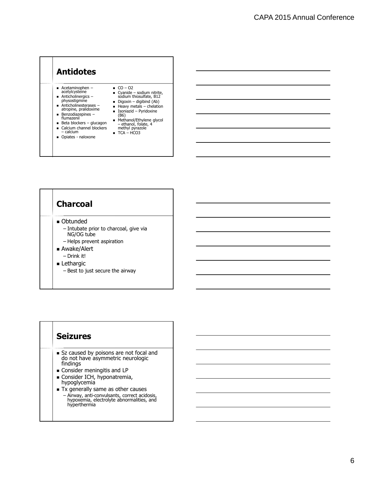



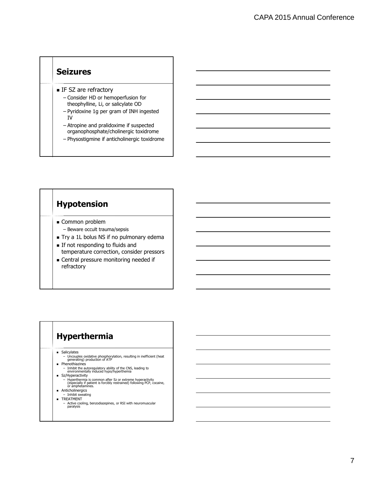#### **Seizures**

- IF SZ are refractory
	- Consider HD or hemoperfusion for theophylline, Li, or salicylate OD
	- Pyridoxine 1g per gram of INH ingested IV
	- Atropine and pralidoxime if suspected organophosphate/cholinergic toxidrome
	- Physostigmine if anticholinergic toxidrome

#### **Hypotension**

- Common problem – Beware occult trauma/sepsis
- Try a 1L bolus NS if no pulmonary edema
- If not responding to fluids and temperature correction, consider pressors
- **Central pressure monitoring needed if** refractory

#### **Hyperthermia**

**s** Salicylates

- Uncouples oxidative phosphorylation, resulting in inefficient (heat generating) production of ATP **Phenothiazines** 
	-
- Inhibit the autoregulatory ability of the CNS, leading to environmentally induced hypo/hyperthemia **s** Sz/Hyperactivity
- 
- Hyperthermia is common after Sz or extreme hyperactivity (especially if patient is forcibly restrained) following PCP, cocaine, or amphetamines.
- **Anticholinergics**
- Inhibit sweating TREATMENT
	- Active cooling, benzodiazepines, or RSI with neuromuscular paralysis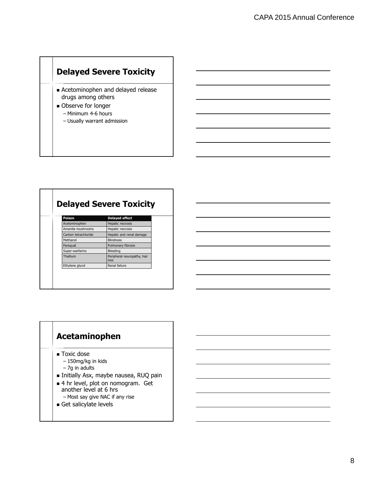## **Delayed Severe Toxicity**

- **Execution** Acetominophen and delayed release drugs among others
- **D** Observe for longer
	- Minimum 4-6 hours
	- Usually warrant admission

| Poison               | <b>Delayed effect</b>               |
|----------------------|-------------------------------------|
| Acetominophen        | Hepatic necrosis                    |
| Amanita mushrooms    | Hepatic necrosis                    |
| Carbon tetrachloride | Hepatic and renal damage            |
| Methanol             | <b>Blindness</b>                    |
| Paraguat             | Pulmonary fibrosis                  |
| Super-warfarins      | Bleeding                            |
| Thallium             | Peripheral neuropathy, hair<br>loss |
| Ethylene glycol      | Renal failure                       |

#### **Acetaminophen**

- Toxic dose
	- 150mg/kg in kids
	- 7g in adults
- Initially Asx, maybe nausea, RUQ pain
- 4 hr level, plot on nomogram. Get another level at 6 hrs
- Most say give NAC if any rise
- Get salicylate levels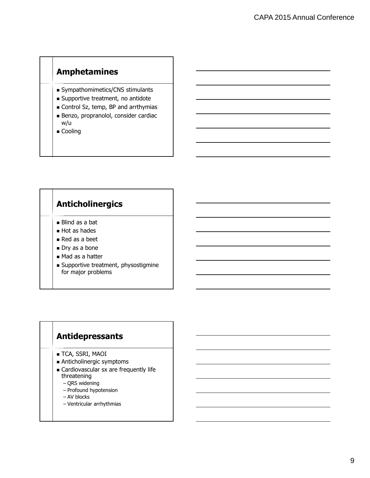## **Amphetamines**

- Sympathomimetics/CNS stimulants
- **Supportive treatment, no antidote**
- Control Sz, temp, BP and arrthymias
- Benzo, propranolol, consider cardiac w/u
- Cooling

## **Anticholinergics** Blind as a bat Hot as hades Red as a beet Dry as a bone ■ Mad as a hatter **Supportive treatment, physostigmine** for major problems

#### **Antidepressants**

- **TCA, SSRI, MAOI**
- Anticholinergic symptoms
- Cardiovascular sx are frequently life threatening
	- QRS widening
	- Profound hypotension
	- AV blocks
	- Ventricular arrhythmias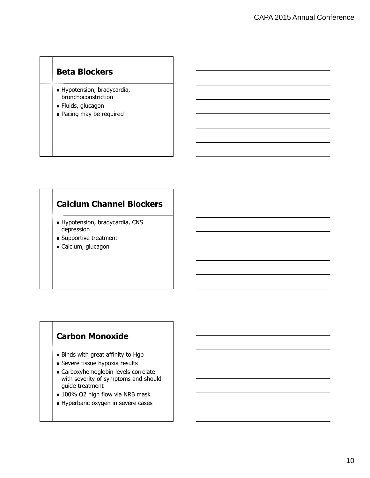## **Beta Blockers**

- Hypotension, bradycardia, bronchoconstriction
- **Fluids, glucagon**
- Pacing may be required

#### **Calcium Channel Blockers**

- Hypotension, bradycardia, CNS depression
- Supportive treatment
- Calcium, glucagon

#### **Carbon Monoxide**

- Binds with great affinity to Hgb
- Severe tissue hypoxia results
- Carboxyhemoglobin levels correlate with severity of symptoms and should guide treatment
- 100% O2 high flow via NRB mask
- Hyperbaric oxygen in severe cases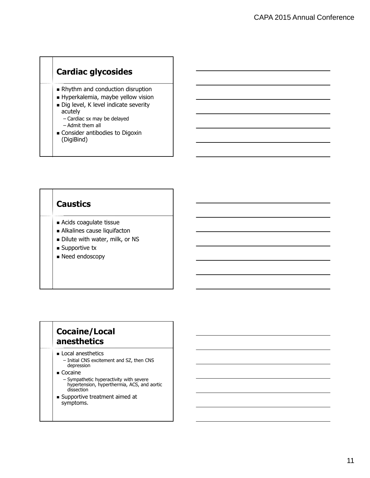## **Cardiac glycosides**

- Rhythm and conduction disruption
- Hyperkalemia, maybe yellow vision
- Dig level, K level indicate severity acutely
	- Cardiac sx may be delayed
	- Admit them all
- **Consider antibodies to Digoxin** (DigiBind)

#### **Caustics**

- Acids coagulate tissue
- Alkalines cause liquifacton
- Dilute with water, milk, or NS
- **Supportive tx**
- **Need endoscopy**

#### **Cocaine/Local anesthetics**

- **Local anesthetics** 
	- Initial CNS excitement and SZ, then CNS depression
- Cocaine
	- Sympathetic hyperactivity with severe hypertension, hyperthermia, ACS, and aortic dissection
- Supportive treatment aimed at symptoms.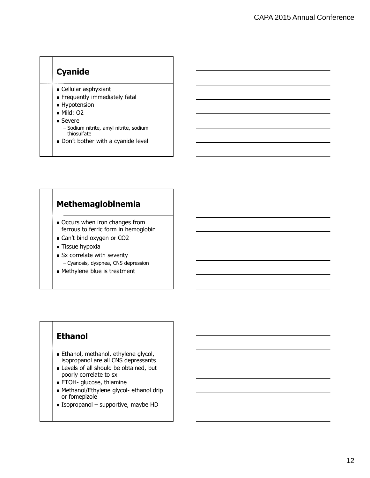## **Cyanide**

- Cellular asphyxiant
- Frequently immediately fatal
- **Hypotension**
- Mild: 02
- Severe
	- Sodium nitrite, amyl nitrite, sodium thiosulfate
- Don't bother with a cyanide level

#### **Methemaglobinemia**

- Occurs when iron changes from ferrous to ferric form in hemoglobin
- Can't bind oxygen or CO2
- **Tissue hypoxia**
- Sx correlate with severity – Cyanosis, dyspnea, CNS depression
- Methylene blue is treatment

## **Ethanol**

- **Ethanol, methanol, ethylene glycol,** isopropanol are all CNS depressants
- Levels of all should be obtained, but poorly correlate to sx
- ETOH- glucose, thiamine
- Methanol/Ethylene glycol- ethanol drip or fomepizole
- $\blacksquare$  Isopropanol supportive, maybe HD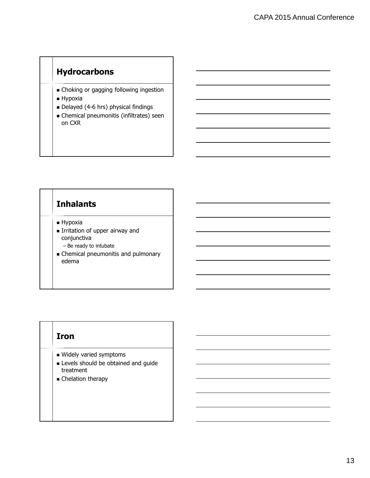## **Hydrocarbons**

- Choking or gagging following ingestion
- Hypoxia
- Delayed (4-6 hrs) physical findings
- Chemical pneumonitis (infiltrates) seen on CXR

## **Inhalants**

- **Hypoxia**
- **Irritation of upper airway and** conjunctiva
	- Be ready to intubate
- Chemical pneumonitis and pulmonary edema

#### **Iron**

- Widely varied symptoms
- **Levels should be obtained and guide** treatment
- **Executed** Chelation therapy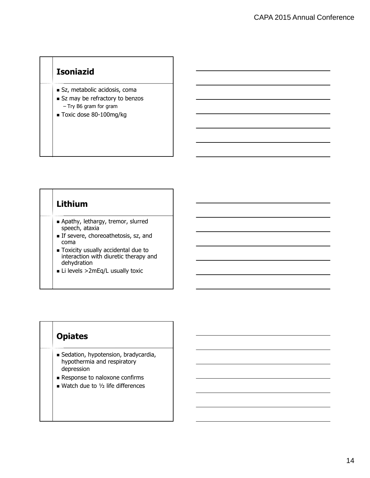## **Isoniazid**

- Sz, metabolic acidosis, coma
- Sz may be refractory to benzos – Try B6 gram for gram
- Toxic dose 80-100mg/kg

#### **Lithium**

- Apathy, lethargy, tremor, slurred speech, ataxia
- **If severe, choreoathetosis, sz, and** coma
- Toxicity usually accidental due to interaction with diuretic therapy and dehydration
- Li levels >2mEq/L usually toxic

#### **Opiates**

- Sedation, hypotension, bradycardia, hypothermia and respiratory depression
- **Response to naloxone confirms**
- $\blacksquare$  Watch due to  $1/2$  life differences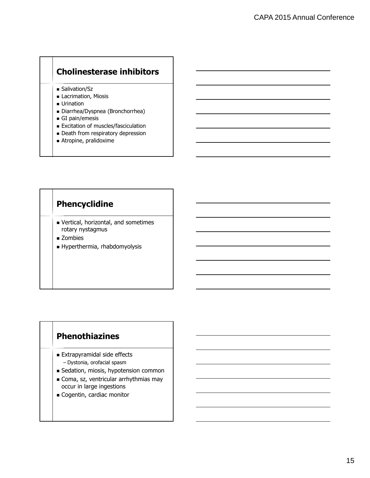## **Cholinesterase inhibitors**

- Salivation/Sz
- **Lacrimation, Miosis**
- **Urination**
- Diarrhea/Dyspnea (Bronchorrhea)
- GI pain/emesis
- **Excitation of muscles/fasciculation**
- Death from respiratory depression
- Atropine, pralidoxime

## **Phencyclidine**

- Vertical, horizontal, and sometimes rotary nystagmus
- Zombies
- Hyperthermia, rhabdomyolysis

#### **Phenothiazines**

- **Extrapyramidal side effects** 
	- Dystonia, orofacial spasm
- Gedation, miosis, hypotension common
- Coma, sz, ventricular arrhythmias may occur in large ingestions
- Cogentin, cardiac monitor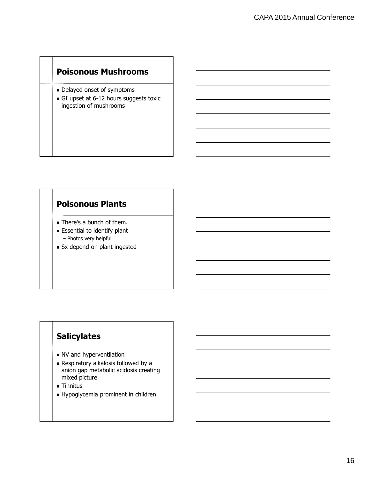### **Poisonous Mushrooms**

- Delayed onset of symptoms
- GI upset at 6-12 hours suggests toxic ingestion of mushrooms

#### **Poisonous Plants**

- **There's a bunch of them.**
- **Essential to identify plant** – Photos very helpful
- Sx depend on plant ingested

### **Salicylates**

- NV and hyperventilation
- **Respiratory alkalosis followed by a** anion gap metabolic acidosis creating mixed picture
- Tinnitus
- Hypoglycemia prominent in children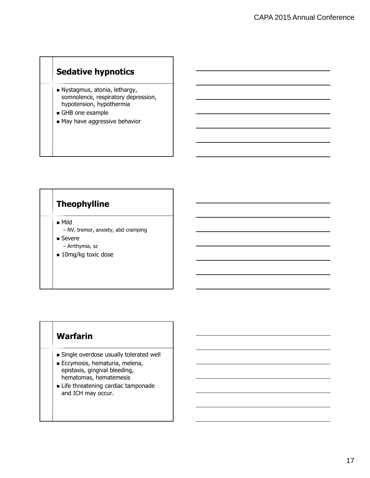## **Sedative hypnotics**

- Nystagmus, atonia, lethargy, somnolence, respiratory depression, hypotension, hypothermia
- GHB one example
- May have aggressive behavior

## **Theophylline**

Mild

- NV, tremor, anxiety, abd cramping ■ Severe
	- Arrthymia, sz
- 10mg/kg toxic dose

#### **Warfarin**

- Single overdose usually tolerated well
- Eccymosis, hematuria, melena, epistaxis, gingival bleeding, hematomas, hematemesis
- **Exercise threatening cardiac tamponade** and ICH may occur.